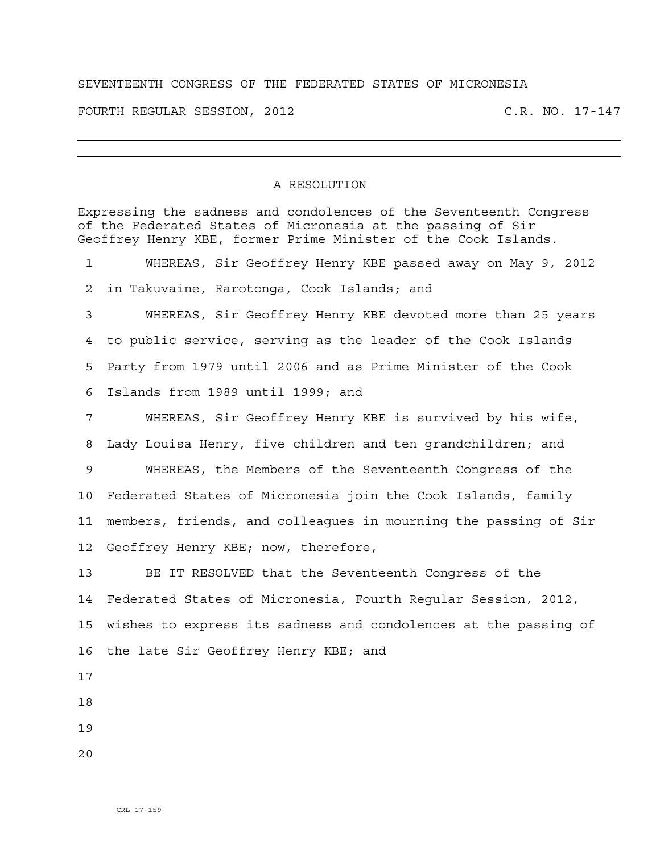## SEVENTEENTH CONGRESS OF THE FEDERATED STATES OF MICRONESIA

FOURTH REGULAR SESSION, 2012 C.R. NO. 17-147

## A RESOLUTION

Expressing the sadness and condolences of the Seventeenth Congress of the Federated States of Micronesia at the passing of Sir Geoffrey Henry KBE, former Prime Minister of the Cook Islands. 1 WHEREAS, Sir Geoffrey Henry KBE passed away on May 9, 2012 2 in Takuvaine, Rarotonga, Cook Islands; and 3 WHEREAS, Sir Geoffrey Henry KBE devoted more than 25 years 4 to public service, serving as the leader of the Cook Islands 5 Party from 1979 until 2006 and as Prime Minister of the Cook 6 Islands from 1989 until 1999; and 7 WHEREAS, Sir Geoffrey Henry KBE is survived by his wife, 8 Lady Louisa Henry, five children and ten grandchildren; and 9 WHEREAS, the Members of the Seventeenth Congress of the 10 Federated States of Micronesia join the Cook Islands, family 11 members, friends, and colleagues in mourning the passing of Sir 12 Geoffrey Henry KBE; now, therefore, 13 BE IT RESOLVED that the Seventeenth Congress of the 14 Federated States of Micronesia, Fourth Regular Session, 2012, 15 wishes to express its sadness and condolences at the passing of 16 the late Sir Geoffrey Henry KBE; and 17 18 19 20